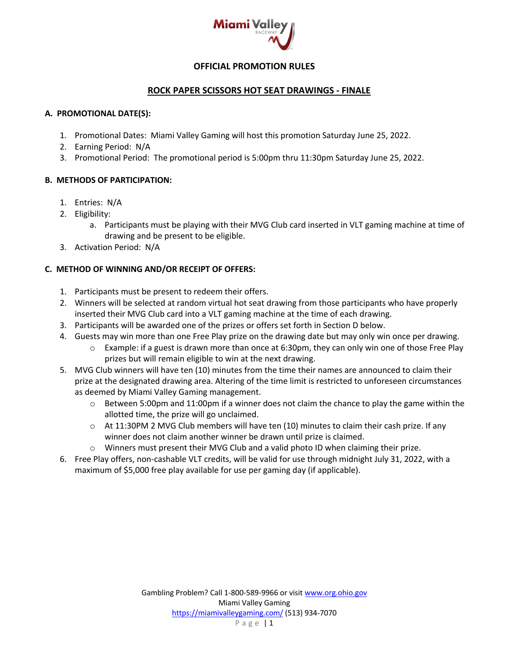

# **OFFICIAL PROMOTION RULES**

## **ROCK PAPER SCISSORS HOT SEAT DRAWINGS - FINALE**

#### **A. PROMOTIONAL DATE(S):**

- 1. Promotional Dates: Miami Valley Gaming will host this promotion Saturday June 25, 2022.
- 2. Earning Period: N/A
- 3. Promotional Period: The promotional period is 5:00pm thru 11:30pm Saturday June 25, 2022.

## **B. METHODS OF PARTICIPATION:**

- 1. Entries: N/A
- 2. Eligibility:
	- a. Participants must be playing with their MVG Club card inserted in VLT gaming machine at time of drawing and be present to be eligible.
- 3. Activation Period: N/A

# **C. METHOD OF WINNING AND/OR RECEIPT OF OFFERS:**

- 1. Participants must be present to redeem their offers.
- 2. Winners will be selected at random virtual hot seat drawing from those participants who have properly inserted their MVG Club card into a VLT gaming machine at the time of each drawing.
- 3. Participants will be awarded one of the prizes or offers set forth in Section D below.
- 4. Guests may win more than one Free Play prize on the drawing date but may only win once per drawing.
	- $\circ$  Example: if a guest is drawn more than once at 6:30pm, they can only win one of those Free Play prizes but will remain eligible to win at the next drawing.
- 5. MVG Club winners will have ten (10) minutes from the time their names are announced to claim their prize at the designated drawing area. Altering of the time limit is restricted to unforeseen circumstances as deemed by Miami Valley Gaming management.
	- $\circ$  Between 5:00pm and 11:00pm if a winner does not claim the chance to play the game within the allotted time, the prize will go unclaimed.
	- $\circ$  At 11:30PM 2 MVG Club members will have ten (10) minutes to claim their cash prize. If any winner does not claim another winner be drawn until prize is claimed.
	- o Winners must present their MVG Club and a valid photo ID when claiming their prize.
- 6. Free Play offers, non-cashable VLT credits, will be valid for use through midnight July 31, 2022, with a maximum of \$5,000 free play available for use per gaming day (if applicable).